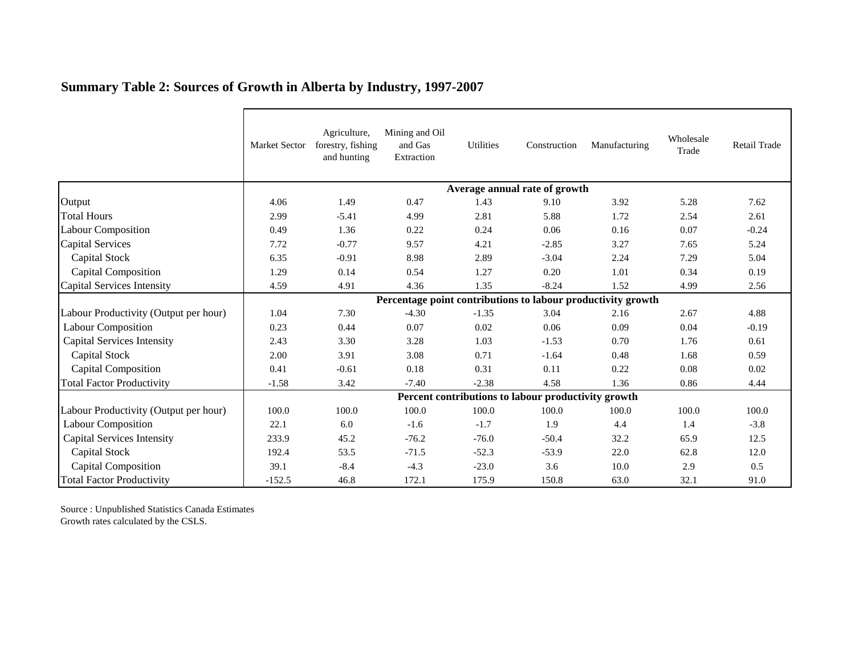|                                       | Market Sector                                                | Agriculture,<br>forestry, fishing<br>and hunting | Mining and Oil<br>and Gas<br>Extraction | Utilities | Construction | Manufacturing | Wholesale<br>Trade | Retail Trade |  |  |  |
|---------------------------------------|--------------------------------------------------------------|--------------------------------------------------|-----------------------------------------|-----------|--------------|---------------|--------------------|--------------|--|--|--|
|                                       | Average annual rate of growth                                |                                                  |                                         |           |              |               |                    |              |  |  |  |
| Output                                | 4.06                                                         | 1.49                                             | 0.47                                    | 1.43      | 9.10         | 3.92          | 5.28               | 7.62         |  |  |  |
| <b>Total Hours</b>                    | 2.99                                                         | $-5.41$                                          | 4.99                                    | 2.81      | 5.88         | 1.72          | 2.54               | 2.61         |  |  |  |
| <b>Labour Composition</b>             | 0.49                                                         | 1.36                                             | 0.22                                    | 0.24      | 0.06         | 0.16          | 0.07               | $-0.24$      |  |  |  |
| Capital Services                      | 7.72                                                         | $-0.77$                                          | 9.57                                    | 4.21      | $-2.85$      | 3.27          | 7.65               | 5.24         |  |  |  |
| <b>Capital Stock</b>                  | 6.35                                                         | $-0.91$                                          | 8.98                                    | 2.89      | $-3.04$      | 2.24          | 7.29               | 5.04         |  |  |  |
| <b>Capital Composition</b>            | 1.29                                                         | 0.14                                             | 0.54                                    | 1.27      | 0.20         | 1.01          | 0.34               | 0.19         |  |  |  |
| Capital Services Intensity            | 4.59                                                         | 4.91                                             | 4.36                                    | 1.35      | $-8.24$      | 1.52          | 4.99               | 2.56         |  |  |  |
|                                       | Percentage point contributions to labour productivity growth |                                                  |                                         |           |              |               |                    |              |  |  |  |
| Labour Productivity (Output per hour) | 1.04                                                         | 7.30                                             | $-4.30$                                 | $-1.35$   | 3.04         | 2.16          | 2.67               | 4.88         |  |  |  |
| <b>Labour Composition</b>             | 0.23                                                         | 0.44                                             | 0.07                                    | 0.02      | 0.06         | 0.09          | 0.04               | $-0.19$      |  |  |  |
| <b>Capital Services Intensity</b>     | 2.43                                                         | 3.30                                             | 3.28                                    | 1.03      | $-1.53$      | 0.70          | 1.76               | 0.61         |  |  |  |
| <b>Capital Stock</b>                  | 2.00                                                         | 3.91                                             | 3.08                                    | 0.71      | $-1.64$      | 0.48          | 1.68               | 0.59         |  |  |  |
| <b>Capital Composition</b>            | 0.41                                                         | $-0.61$                                          | 0.18                                    | 0.31      | 0.11         | 0.22          | 0.08               | 0.02         |  |  |  |
| <b>Total Factor Productivity</b>      | $-1.58$                                                      | 3.42                                             | $-7.40$                                 | $-2.38$   | 4.58         | 1.36          | 0.86               | 4.44         |  |  |  |
|                                       | Percent contributions to labour productivity growth          |                                                  |                                         |           |              |               |                    |              |  |  |  |
| Labour Productivity (Output per hour) | 100.0                                                        | 100.0                                            | 100.0                                   | 100.0     | 100.0        | 100.0         | 100.0              | 100.0        |  |  |  |
| <b>Labour Composition</b>             | 22.1                                                         | 6.0                                              | $-1.6$                                  | $-1.7$    | 1.9          | 4.4           | 1.4                | $-3.8$       |  |  |  |
| <b>Capital Services Intensity</b>     | 233.9                                                        | 45.2                                             | $-76.2$                                 | $-76.0$   | $-50.4$      | 32.2          | 65.9               | 12.5         |  |  |  |
| Capital Stock                         | 192.4                                                        | 53.5                                             | $-71.5$                                 | $-52.3$   | $-53.9$      | 22.0          | 62.8               | 12.0         |  |  |  |
| Capital Composition                   | 39.1                                                         | $-8.4$                                           | $-4.3$                                  | $-23.0$   | 3.6          | 10.0          | 2.9                | 0.5          |  |  |  |
| <b>Total Factor Productivity</b>      | $-152.5$                                                     | 46.8                                             | 172.1                                   | 175.9     | 150.8        | 63.0          | 32.1               | 91.0         |  |  |  |

## **Summary Table 2: Sources of Growth in Alberta by Industry, 1997-2007**

Source : Unpublished Statistics Canada Estimates Growth rates calculated by the CSLS.